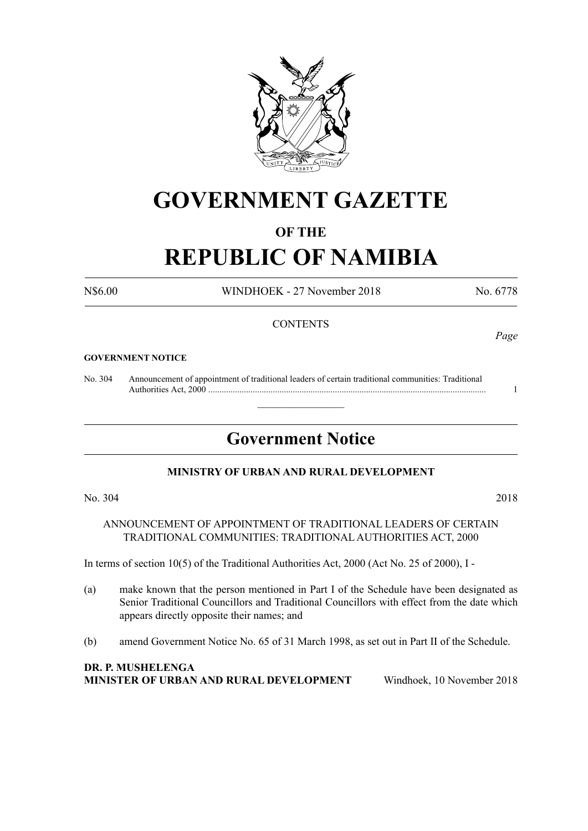

# **GOVERNMENT GAZETTE**

# **OF THE**

# **REPUBLIC OF NAMIBIA**

N\$6.00 WINDHOEK - 27 November 2018 No. 6778

#### **CONTENTS**

#### **GOVERNMENT NOTICE**

No. 304 Announcement of appointment of traditional leaders of certain traditional communities: Traditional Authorities Act, 2000 ............................................................................................................................. 1

# **Government Notice**

 $\overline{\phantom{a}}$  , where  $\overline{\phantom{a}}$ 

#### **MINISTRY OF URBAN AND RURAL DEVELOPMENT**

No. 304 2018

ANNOUNCEMENT OF APPOINTMENT OF TRADITIONAL LEADERS OF CERTAIN TRADITIONAL COMMUNITIES: TRADITIONAL AUTHORITIES ACT, 2000

In terms of section 10(5) of the Traditional Authorities Act, 2000 (Act No. 25 of 2000), I -

- (a) make known that the person mentioned in Part I of the Schedule have been designated as Senior Traditional Councillors and Traditional Councillors with effect from the date which appears directly opposite their names; and
- (b) amend Government Notice No. 65 of 31 March 1998, as set out in Part II of the Schedule.

#### **DR. P. Mushelenga Minister of Urban and Rural Development** Windhoek, 10 November 2018

*Page*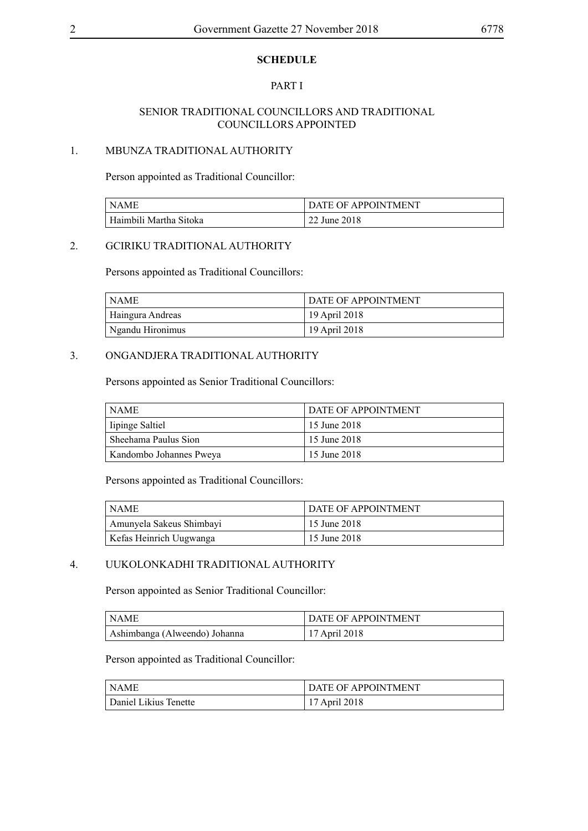### **SCHEDULE**

## PART I

#### SENIOR TRADITIONAL COUNCILLORS AND TRADITIONAL COUNCILLORS APPOINTED

#### 1. MBUNZA TRADITIONAL AUTHORITY

Person appointed as Traditional Councillor:

| l NAMF                 | DATE OF APPOINTMENT |
|------------------------|---------------------|
| Haimbili Martha Sitoka | 22 June 2018        |

# 2. GCIRIKU TRADITIONAL AUTHORITY

Persons appointed as Traditional Councillors:

| l NAME.          | <b>DATE OF APPOINTMENT</b> |
|------------------|----------------------------|
| Haingura Andreas | 19 April 2018              |
| Ngandu Hironimus | 19 April 2018              |

#### 3. ONGANDJERA TRADITIONAL AUTHORITY

Persons appointed as Senior Traditional Councillors:

| ' NAME                  | <b>DATE OF APPOINTMENT</b> |
|-------------------------|----------------------------|
| lipinge Saltiel         | <sup>1</sup> 15 June 2018  |
| Sheehama Paulus Sion    | <sup>1</sup> 15 June 2018  |
| Kandombo Johannes Pweya | 15 June 2018               |

Persons appointed as Traditional Councillors:

| <b>NAME</b>              | DATE OF APPOINTMENT |
|--------------------------|---------------------|
| Amunyela Sakeus Shimbayi | 15 June 2018        |
| Kefas Heinrich Uugwanga  | 15 June 2018        |

# 4. UUKOLONKADHI TRADITIONAL AUTHORITY

Person appointed as Senior Traditional Councillor:

| I NAME                        | <b>DATE OF APPOINTMENT</b> |
|-------------------------------|----------------------------|
| Ashimbanga (Alweendo) Johanna | 17 April 2018              |

Person appointed as Traditional Councillor:

| <sup>1</sup> NAME     | DATE OF APPOINTMENT |
|-----------------------|---------------------|
| Daniel Likius Tenette | 17 April 2018       |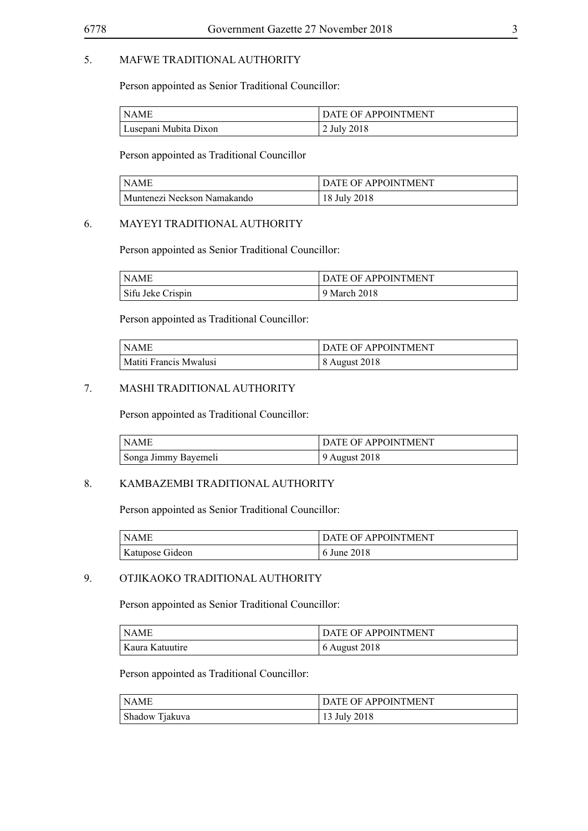# 5. MAFWE TRADITIONAL AUTHORITY

Person appointed as Senior Traditional Councillor:

| ' NAME '              | DATE OF APPOINTMENT |
|-----------------------|---------------------|
| Lusepani Mubita Dixon | 2 July 2018         |

Person appointed as Traditional Councillor

| I NAMF                                   | DATE OF APPOINTMENT |
|------------------------------------------|---------------------|
| <sup>1</sup> Muntenezi Neckson Namakando | 18 July 2018        |

# 6. MAYEYI TRADITIONAL AUTHORITY

Person appointed as Senior Traditional Councillor:

| NAME              | DATE OF APPOINTMENT |
|-------------------|---------------------|
| Sifu Jeke Crispin | 9 March 2018        |

Person appointed as Traditional Councillor:

| NAME                   | <b>DATE OF APPOINTMENT</b> |
|------------------------|----------------------------|
| Matiti Francis Mwalusi | 8 August 2018              |

#### 7. MASHI TRADITIONAL AUTHORITY

Person appointed as Traditional Councillor:

| NAME                 | <b>DATE OF APPOINTMENT</b> |
|----------------------|----------------------------|
| Songa Jimmy Bayemeli | 9 August 2018              |

#### 8. KAMBAZEMBI TRADITIONAL AUTHORITY

Person appointed as Senior Traditional Councillor:

| NAME            | DATE OF APPOINTMENT |
|-----------------|---------------------|
| Katupose Gideon | 6 June 2018         |

# 9. OTJIKAOKO TRADITIONAL AUTHORITY

Person appointed as Senior Traditional Councillor:

| ' NAME          | DATE OF APPOINTMENT |
|-----------------|---------------------|
| Kaura Katuutire | $6$ August 2018     |

Person appointed as Traditional Councillor:

| NAME           | DATE OF APPOINTMENT |
|----------------|---------------------|
| Shadow Tjakuva | 13 July 2018        |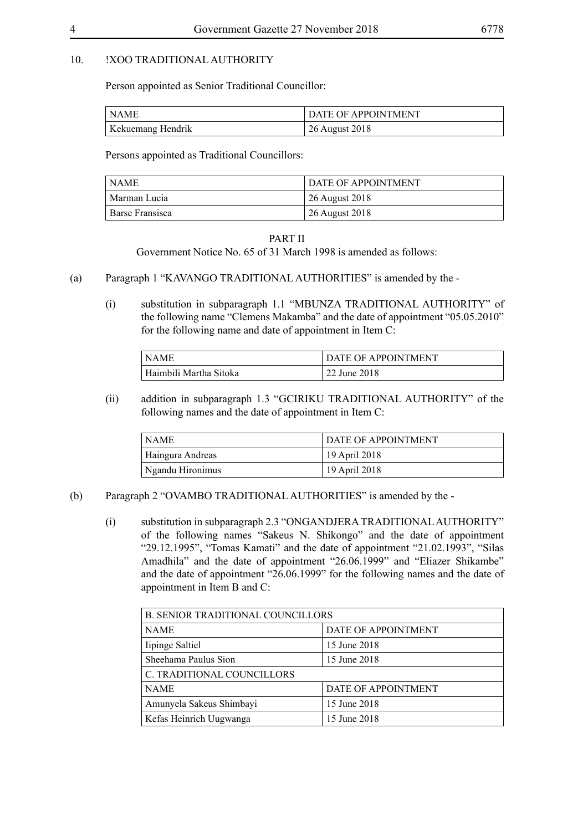#### 10. !XOO TRADITIONAL AUTHORITY

Person appointed as Senior Traditional Councillor:

| l NAME            | DATE OF APPOINTMENT |
|-------------------|---------------------|
| Kekuemang Hendrik | 26 August 2018      |

Persons appointed as Traditional Councillors:

| NAME            | <b>DATE OF APPOINTMENT</b> |
|-----------------|----------------------------|
| Marman Lucia    | 26 August 2018             |
| Barse Fransisca | 26 August 2018             |

#### PART II

Government Notice No. 65 of 31 March 1998 is amended as follows:

- (a) Paragraph 1 "KAVANGO TRADITIONAL AUTHORITIES" is amended by the
	- (i) substitution in subparagraph 1.1 "MBUNZA TRADITIONAL AUTHORITY" of the following name "Clemens Makamba" and the date of appointment "05.05.2010" for the following name and date of appointment in Item C:

| NAME                   | DATE OF APPOINTMENT |
|------------------------|---------------------|
| Haimbili Martha Sitoka | 22 June 2018        |

(ii) addition in subparagraph 1.3 "GCIRIKU TRADITIONAL AUTHORITY" of the following names and the date of appointment in Item C:

| NAME             | <b>DATE OF APPOINTMENT</b> |
|------------------|----------------------------|
| Haingura Andreas | 19 April 2018              |
| Ngandu Hironimus | 19 April 2018              |

#### (b) Paragraph 2 "OVAMBO TRADITIONAL AUTHORITIES" is amended by the -

(i) substitution in subparagraph 2.3 "ONGANDJERA TRADITIONAL AUTHORITY" of the following names "Sakeus N. Shikongo" and the date of appointment "29.12.1995", "Tomas Kamati" and the date of appointment "21.02.1993", "Silas Amadhila" and the date of appointment "26.06.1999" and "Eliazer Shikambe" and the date of appointment "26.06.1999" for the following names and the date of appointment in Item B and C:

| <b>B. SENIOR TRADITIONAL COUNCILLORS</b> |                     |  |
|------------------------------------------|---------------------|--|
| <b>NAME</b>                              | DATE OF APPOINTMENT |  |
| Iipinge Saltiel                          | 15 June 2018        |  |
| Sheehama Paulus Sion                     | 15 June 2018        |  |
| C. TRADITIONAL COUNCILLORS               |                     |  |
| <b>NAME</b>                              | DATE OF APPOINTMENT |  |
| Amunyela Sakeus Shimbayi                 | 15 June 2018        |  |
| Kefas Heinrich Uugwanga                  | 15 June 2018        |  |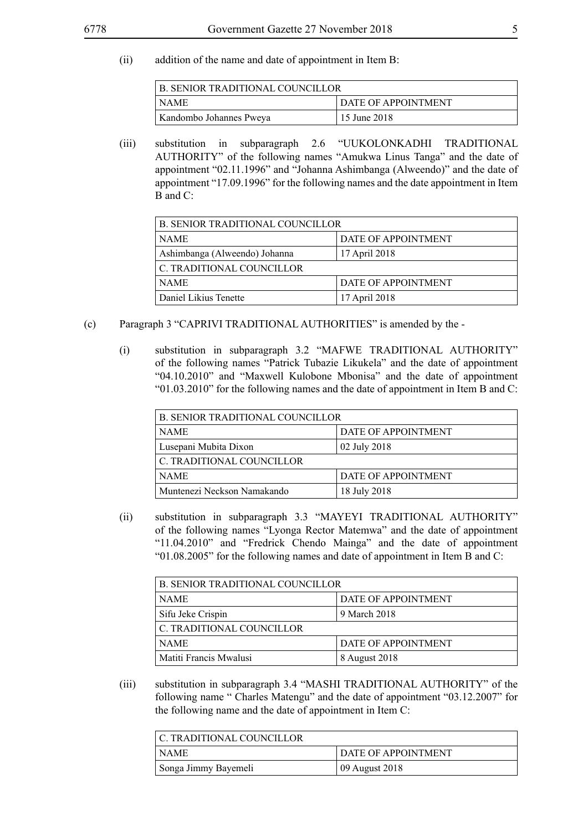(ii) addition of the name and date of appointment in Item B:

| B. SENIOR TRADITIONAL COUNCILLOR |                            |
|----------------------------------|----------------------------|
| <b>NAME</b>                      | <b>DATE OF APPOINTMENT</b> |
| Kandombo Johannes Pweya          | 15 June 2018               |

(iii) substitution in subparagraph 2.6 "UUKOLONKADHI TRADITIONAL AUTHORITY" of the following names "Amukwa Linus Tanga" and the date of appointment "02.11.1996" and "Johanna Ashimbanga (Alweendo)" and the date of appointment "17.09.1996" for the following names and the date appointment in Item B and C:

| <b>B. SENIOR TRADITIONAL COUNCILLOR</b> |                     |  |
|-----------------------------------------|---------------------|--|
| <b>NAME</b>                             | DATE OF APPOINTMENT |  |
| Ashimbanga (Alweendo) Johanna           | 17 April 2018       |  |
| C. TRADITIONAL COUNCILLOR               |                     |  |
| <b>NAME</b>                             | DATE OF APPOINTMENT |  |
| Daniel Likius Tenette                   | 17 April 2018       |  |

- (c) Paragraph 3 "CAPRIVI TRADITIONAL AUTHORITIES" is amended by the
	- (i) substitution in subparagraph 3.2 "MAFWE TRADITIONAL AUTHORITY" of the following names "Patrick Tubazie Likukela" and the date of appointment "04.10.2010" and "Maxwell Kulobone Mbonisa" and the date of appointment "01.03.2010" for the following names and the date of appointment in Item B and C:

| <b>B. SENIOR TRADITIONAL COUNCILLOR</b> |                     |  |
|-----------------------------------------|---------------------|--|
| <b>NAME</b>                             | DATE OF APPOINTMENT |  |
| Lusepani Mubita Dixon                   | 02 July 2018        |  |
| C. TRADITIONAL COUNCILLOR               |                     |  |
| <b>NAME</b>                             | DATE OF APPOINTMENT |  |
| Muntenezi Neckson Namakando             | 18 July 2018        |  |

(ii) substitution in subparagraph 3.3 "MAYEYI TRADITIONAL AUTHORITY" of the following names "Lyonga Rector Matemwa" and the date of appointment "11.04.2010" and "Fredrick Chendo Mainga" and the date of appointment "01.08.2005" for the following names and date of appointment in Item B and C:

| <b>B. SENIOR TRADITIONAL COUNCILLOR</b> |                     |  |
|-----------------------------------------|---------------------|--|
| <b>NAME</b>                             | DATE OF APPOINTMENT |  |
| Sifu Jeke Crispin                       | 9 March 2018        |  |
| C. TRADITIONAL COUNCILLOR               |                     |  |
| <b>NAME</b>                             | DATE OF APPOINTMENT |  |
| Matiti Francis Mwalusi                  | 8 August 2018       |  |

(iii) substitution in subparagraph 3.4 "MASHI TRADITIONAL AUTHORITY" of the following name " Charles Matengu" and the date of appointment "03.12.2007" for the following name and the date of appointment in Item C:

| C. TRADITIONAL COUNCILLOR |                            |
|---------------------------|----------------------------|
| NAME                      | <b>DATE OF APPOINTMENT</b> |
| Songa Jimmy Bayemeli      | 09 August 2018             |